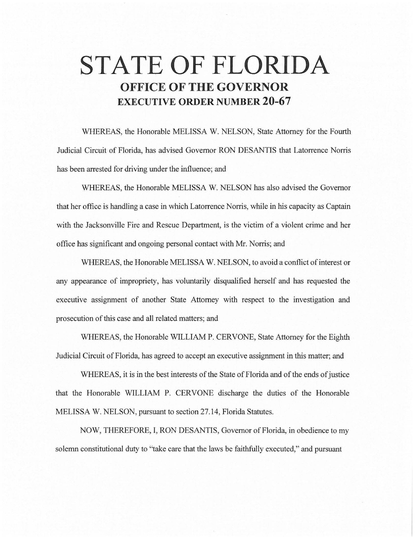# **STATE OF FLORIDA OFFICE OF THE GOVERNOR EXECUTIVE ORDER NUMBER 20-67**

WHEREAS, the Honorable MELISSA W. NELSON, State Attorney for the Fourth Judicial Circuit of Florida, has advised Governor RON DESANTIS that Latorrence Norris has been arrested for driving under the influence; and

WHEREAS, the Honorable MELISSA W. NELSON has also advised the Governor that her office is handling a case in which Latorrence Norris, while in his capacity as Captain with the Jacksonville Fire and Rescue Department, is the victim of a violent crime and her office has significant and ongoing personal contact with Mr. Norris; and

WHEREAS, the Honorable MELISSA W. NELSON, to avoid a conflict of interest or any appearance of impropriety, has voluntarily disqualified herself and has requested the executive assignment of another State Attorney with respect to the investigation and prosecution of this case and all related matters; and

WHEREAS, the Honorable WILLIAM P. CERVONE, State Attorney for the Eighth Judicial Circuit of Florida, has agreed to accept an executive assignment in this matter; and

WHEREAS, it is in the best interests of the State of Florida and of the ends of justice that the Honorable WILLIAM P. CERVONE discharge the duties of the Honorable MELISSA W. NELSON, pursuant to section 27.14, Florida Statutes.

NOW, THEREFORE, I, RON DESANTIS, Governor of Florida, in obedience to my solemn constitutional duty to "take care that the laws be faithfully executed," and pursuant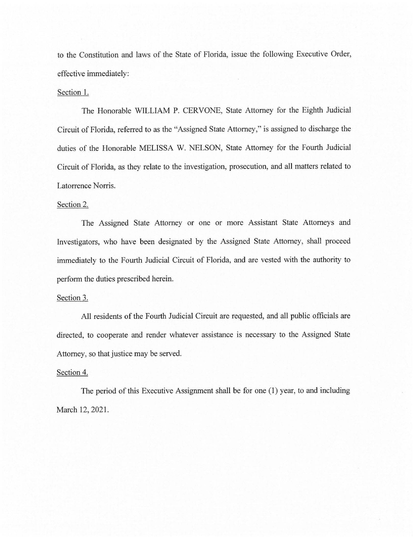to the Constitution and laws of the State of Florida, issue the following Executive Order, effective immediately:

## Section 1.

The Honorable WILLIAM P. CERVONE, State Attorney for the Eighth Judicial Circuit of Florida, referred to as the "Assigned State Attorney," is assigned to discharge the duties of the Honorable MELISSA W. NELSON, State Attorney for the Fourth Judicial Circuit of Florida, as they relate to the investigation, prosecution, and all matters related to Latorrence Norris.

### Section 2.

The Assigned State Attorney or one or more Assistant State Attorneys and Investigators, who have been designated by the Assigned State Attorney, shall proceed immediately to the Fourth Judicial Circuit of Florida, and are vested with the authority to perform the duties prescribed herein.

#### Section 3.

All residents of the Fourth Judicial Circuit are requested, and all public officials are directed, to cooperate and render whatever assistance is necessary to the Assigned State Attorney, so that justice may be served.

## Section 4.

The period of this Executive Assignment shall be for one (1) year, to and including March 12, 2021.